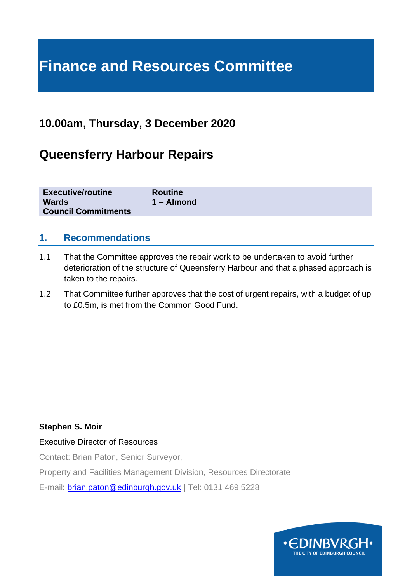# **Finance and Resources Committee**

# **10.00am, Thursday, 3 December 2020**

# **Queensferry Harbour Repairs**

| <b>Executive/routine</b>   | <b>Routine</b> |
|----------------------------|----------------|
| <b>Wards</b>               | $1 -$ Almond   |
| <b>Council Commitments</b> |                |

### **1. Recommendations**

- 1.1 That the Committee approves the repair work to be undertaken to avoid further deterioration of the structure of Queensferry Harbour and that a phased approach is taken to the repairs.
- 1.2 That Committee further approves that the cost of urgent repairs, with a budget of up to £0.5m, is met from the Common Good Fund.

#### **Stephen S. Moir**

#### Executive Director of Resources

Contact: Brian Paton, Senior Surveyor,

Property and Facilities Management Division, Resources Directorate

E-mail: [brian.paton@edinburgh.gov.uk](mailto:brian.paton@edinburgh.gov.uk) | Tel: 0131 469 5228

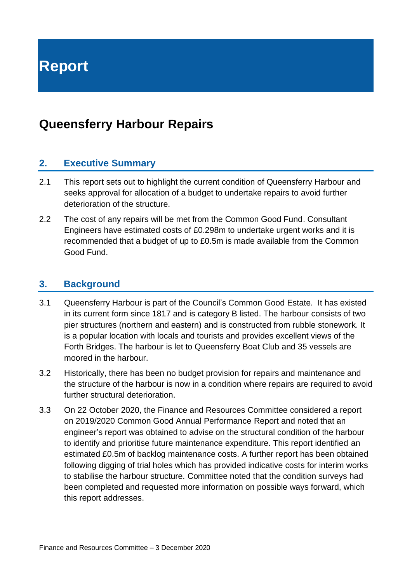**Report**

# **Queensferry Harbour Repairs**

#### **2. Executive Summary**

- 2.1 This report sets out to highlight the current condition of Queensferry Harbour and seeks approval for allocation of a budget to undertake repairs to avoid further deterioration of the structure.
- 2.2 The cost of any repairs will be met from the Common Good Fund. Consultant Engineers have estimated costs of £0.298m to undertake urgent works and it is recommended that a budget of up to £0.5m is made available from the Common Good Fund.

#### **3. Background**

- 3.1 Queensferry Harbour is part of the Council's Common Good Estate. It has existed in its current form since 1817 and is category B listed. The harbour consists of two pier structures (northern and eastern) and is constructed from rubble stonework. It is a popular location with locals and tourists and provides excellent views of the Forth Bridges. The harbour is let to Queensferry Boat Club and 35 vessels are moored in the harbour.
- 3.2 Historically, there has been no budget provision for repairs and maintenance and the structure of the harbour is now in a condition where repairs are required to avoid further structural deterioration.
- 3.3 On 22 October 2020, the Finance and Resources Committee considered a report on 2019/2020 Common Good Annual Performance Report and noted that an engineer's report was obtained to advise on the structural condition of the harbour to identify and prioritise future maintenance expenditure. This report identified an estimated £0.5m of backlog maintenance costs. A further report has been obtained following digging of trial holes which has provided indicative costs for interim works to stabilise the harbour structure. Committee noted that the condition surveys had been completed and requested more information on possible ways forward, which this report addresses.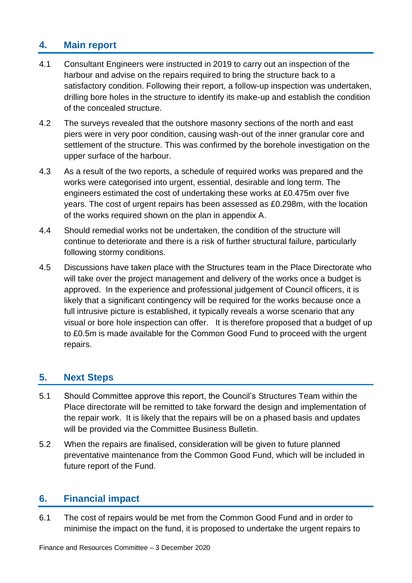# **4. Main report**

- 4.1 Consultant Engineers were instructed in 2019 to carry out an inspection of the harbour and advise on the repairs required to bring the structure back to a satisfactory condition. Following their report, a follow-up inspection was undertaken, drilling bore holes in the structure to identify its make-up and establish the condition of the concealed structure.
- 4.2 The surveys revealed that the outshore masonry sections of the north and east piers were in very poor condition, causing wash-out of the inner granular core and settlement of the structure. This was confirmed by the borehole investigation on the upper surface of the harbour.
- 4.3 As a result of the two reports, a schedule of required works was prepared and the works were categorised into urgent, essential, desirable and long term. The engineers estimated the cost of undertaking these works at £0.475m over five years. The cost of urgent repairs has been assessed as £0.298m, with the location of the works required shown on the plan in appendix A.
- 4.4 Should remedial works not be undertaken, the condition of the structure will continue to deteriorate and there is a risk of further structural failure, particularly following stormy conditions.
- 4.5 Discussions have taken place with the Structures team in the Place Directorate who will take over the project management and delivery of the works once a budget is approved. In the experience and professional judgement of Council officers, it is likely that a significant contingency will be required for the works because once a full intrusive picture is established, it typically reveals a worse scenario that any visual or bore hole inspection can offer. It is therefore proposed that a budget of up to £0.5m is made available for the Common Good Fund to proceed with the urgent repairs.

# **5. Next Steps**

- 5.1 Should Committee approve this report, the Council's Structures Team within the Place directorate will be remitted to take forward the design and implementation of the repair work. It is likely that the repairs will be on a phased basis and updates will be provided via the Committee Business Bulletin.
- 5.2 When the repairs are finalised, consideration will be given to future planned preventative maintenance from the Common Good Fund, which will be included in future report of the Fund.

#### **6. Financial impact**

6.1 The cost of repairs would be met from the Common Good Fund and in order to minimise the impact on the fund, it is proposed to undertake the urgent repairs to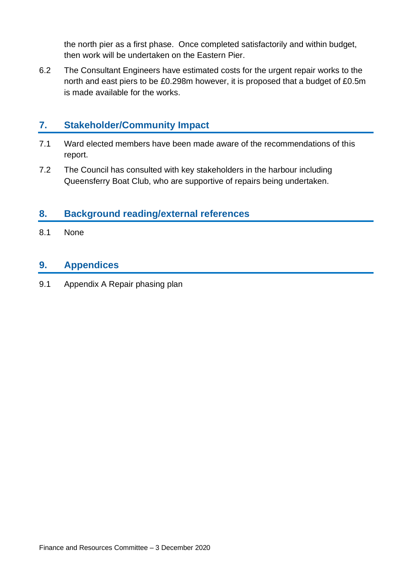the north pier as a first phase. Once completed satisfactorily and within budget, then work will be undertaken on the Eastern Pier.

6.2 The Consultant Engineers have estimated costs for the urgent repair works to the north and east piers to be £0.298m however, it is proposed that a budget of £0.5m is made available for the works.

# **7. Stakeholder/Community Impact**

- 7.1 Ward elected members have been made aware of the recommendations of this report.
- 7.2 The Council has consulted with key stakeholders in the harbour including Queensferry Boat Club, who are supportive of repairs being undertaken.

# **8. Background reading/external references**

8.1 None

#### **9. Appendices**

9.1 Appendix A Repair phasing plan